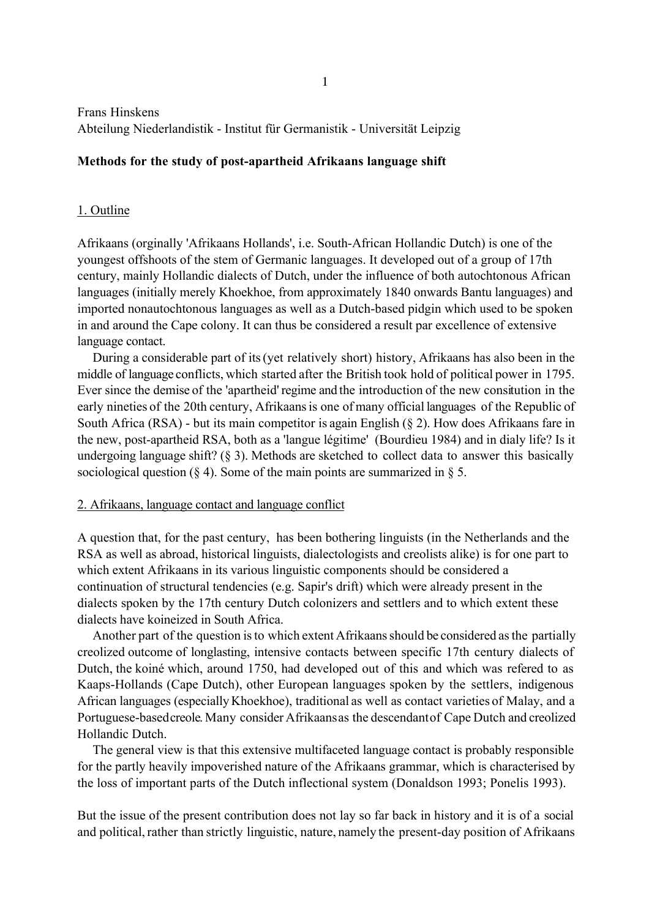# Frans Hinskens Abteilung Niederlandistik - Institut für Germanistik - Universität Leipzig

## **Methods for the study of post-apartheid Afrikaans language shift**

## 1. Outline

Afrikaans (orginally 'Afrikaans Hollands', i.e. South-African Hollandic Dutch) is one of the youngest offshoots of the stem of Germanic languages. It developed out of a group of 17th century, mainly Hollandic dialects of Dutch, under the influence of both autochtonous African languages (initially merely Khoekhoe, from approximately 1840 onwards Bantu languages) and imported nonautochtonous languages as well as a Dutch-based pidgin which used to be spoken in and around the Cape colony. It can thus be considered a result par excellence of extensive language contact.

During a considerable part of its (yet relatively short) history, Afrikaans has also been in the middle of language conflicts, which started after the British took hold of political power in 1795. Ever since the demise of the 'apartheid' regime and the introduction of the new consitution in the early nineties of the 20th century, Afrikaans is one of many official languages of the Republic of South Africa (RSA) - but its main competitor is again English (§ 2). How does Afrikaans fare in the new, post-apartheid RSA, both as a 'langue légitime' (Bourdieu 1984) and in dialy life? Is it undergoing language shift? (§ 3). Methods are sketched to collect data to answer this basically sociological question  $(\xi 4)$ . Some of the main points are summarized in  $\xi 5$ .

## 2. Afrikaans, language contact and language conflict

A question that, for the past century, has been bothering linguists (in the Netherlands and the RSA as well as abroad, historical linguists, dialectologists and creolists alike) is for one part to which extent Afrikaans in its various linguistic components should be considered a continuation of structural tendencies (e.g. Sapir's drift) which were already present in the dialects spoken by the 17th century Dutch colonizers and settlers and to which extent these dialects have koineized in South Africa.

Another part of the question is to which extent Afrikaans should be considered as the partially creolized outcome of longlasting, intensive contacts between specific 17th century dialects of Dutch, the koiné which, around 1750, had developed out of this and which was refered to as Kaaps-Hollands (Cape Dutch), other European languages spoken by the settlers, indigenous African languages (especially Khoekhoe), traditional as well as contact varieties of Malay, and a Portuguese-based creole. Many consider Afrikaans as the descendant of Cape Dutch and creolized Hollandic Dutch.

The general view is that this extensive multifaceted language contact is probably responsible for the partly heavily impoverished nature of the Afrikaans grammar, which is characterised by the loss of important parts of the Dutch inflectional system (Donaldson 1993; Ponelis 1993).

But the issue of the present contribution does not lay so far back in history and it is of a social and political, rather than strictly linguistic, nature, namely the present-day position of Afrikaans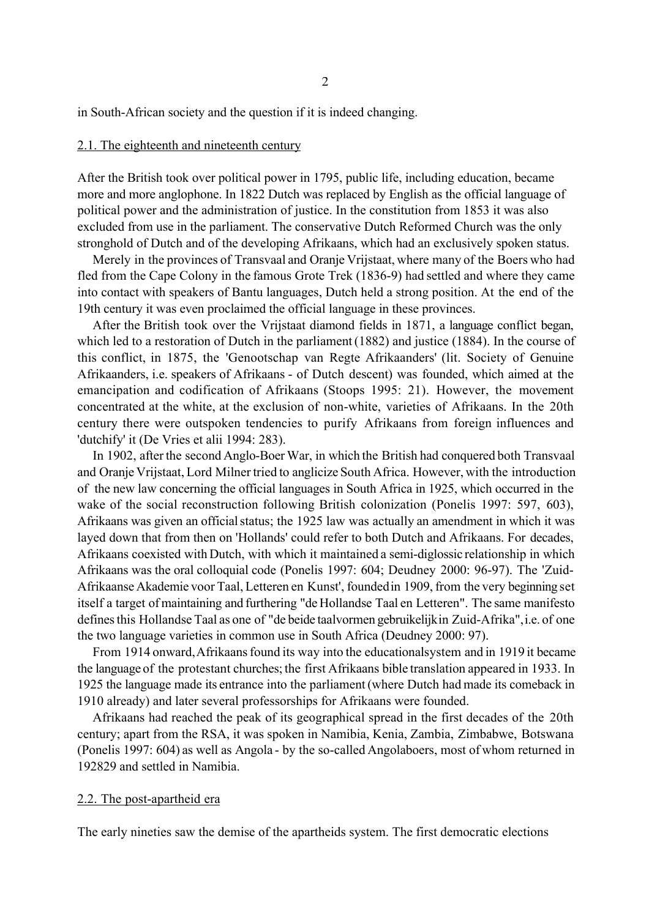in South-African society and the question if it is indeed changing.

### 2.1. The eighteenth and nineteenth century

After the British took over political power in 1795, public life, including education, became more and more anglophone. In 1822 Dutch was replaced by English as the official language of political power and the administration of justice. In the constitution from 1853 it was also excluded from use in the parliament. The conservative Dutch Reformed Church was the only stronghold of Dutch and of the developing Afrikaans, which had an exclusively spoken status.

Merely in the provinces of Transvaal and Oranje Vrijstaat, where many of the Boers who had fled from the Cape Colony in the famous Grote Trek (1836-9) had settled and where they came into contact with speakers of Bantu languages, Dutch held a strong position. At the end of the 19th century it was even proclaimed the official language in these provinces.

After the British took over the Vrijstaat diamond fields in 1871, a language conflict began, which led to a restoration of Dutch in the parliament (1882) and justice (1884). In the course of this conflict, in 1875, the 'Genootschap van Regte Afrikaanders' (lit. Society of Genuine Afrikaanders, i.e. speakers of Afrikaans - of Dutch descent) was founded, which aimed at the emancipation and codification of Afrikaans (Stoops 1995: 21). However, the movement concentrated at the white, at the exclusion of non-white, varieties of Afrikaans. In the 20th century there were outspoken tendencies to purify Afrikaans from foreign influences and 'dutchify' it (De Vries et alii 1994: 283).

In 1902, after the second Anglo-Boer War, in which the British had conquered both Transvaal and Oranje Vrijstaat, Lord Milner tried to anglicize South Africa. However, with the introduction of the new law concerning the official languages in South Africa in 1925, which occurred in the wake of the social reconstruction following British colonization (Ponelis 1997: 597, 603), Afrikaans was given an official status; the 1925 law was actually an amendment in which it was layed down that from then on 'Hollands' could refer to both Dutch and Afrikaans. For decades, Afrikaans coexisted with Dutch, with which it maintained a semi-diglossic relationship in which Afrikaans was the oral colloquial code (Ponelis 1997: 604; Deudney 2000: 96-97). The 'Zuid-Afrikaanse Akademie voor Taal, Letteren en Kunst', founded in 1909, from the very beginning set itself a target of maintaining and furthering "de Hollandse Taal en Letteren". The same manifesto defines this Hollandse Taal as one of "de beide taalvormen gebruikelijk in Zuid-Afrika", i.e. of one the two language varieties in common use in South Africa (Deudney 2000: 97).

From 1914 onward, Afrikaans found its way into the educational system and in 1919 it became the language of the protestant churches; the first Afrikaans bible translation appeared in 1933. In 1925 the language made its entrance into the parliament (where Dutch had made its comeback in 1910 already) and later several professorships for Afrikaans were founded.

Afrikaans had reached the peak of its geographical spread in the first decades of the 20th century; apart from the RSA, it was spoken in Namibia, Kenia, Zambia, Zimbabwe, Botswana (Ponelis 1997: 604) as well as Angola - by the so-called Angolaboers, most of whom returned in 192829 and settled in Namibia.

### 2.2. The post-apartheid era

The early nineties saw the demise of the apartheids system. The first democratic elections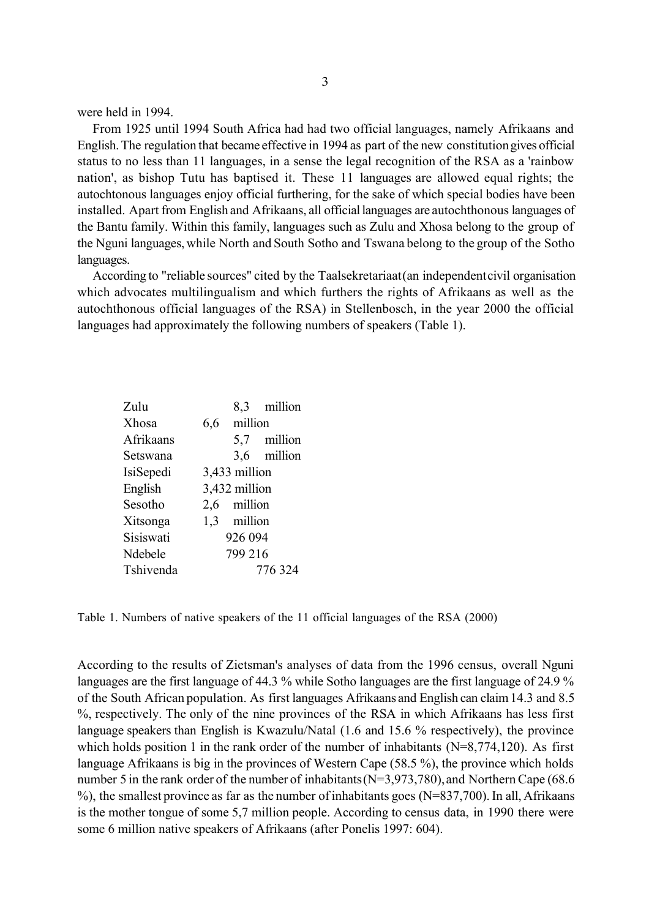were held in 1994.

From 1925 until 1994 South Africa had had two official languages, namely Afrikaans and English. The regulation that became effective in 1994 as part of the new constitution gives official status to no less than 11 languages, in a sense the legal recognition of the RSA as a 'rainbow nation', as bishop Tutu has baptised it. These 11 languages are allowed equal rights; the autochtonous languages enjoy official furthering, for the sake of which special bodies have been installed. Apart from English and Afrikaans, all official languages are autochthonous languages of the Bantu family. Within this family, languages such as Zulu and Xhosa belong to the group of the Nguni languages, while North and South Sotho and Tswana belong to the group of the Sotho languages.

According to "reliable sources" cited by the Taalsekretariaat (an independent civil organisation which advocates multilingualism and which furthers the rights of Afrikaans as well as the autochthonous official languages of the RSA) in Stellenbosch, in the year 2000 the official languages had approximately the following numbers of speakers (Table 1).

| Zulu      |               |             | 8,3 million |
|-----------|---------------|-------------|-------------|
| Xhosa     | 6,6 million   |             |             |
| Afrikaans |               |             | 5,7 million |
| Setswana  |               |             | 3,6 million |
| IsiSepedi | 3,433 million |             |             |
| English   | 3,432 million |             |             |
| Sesotho   |               | 2,6 million |             |
| Xitsonga  |               | 1,3 million |             |
| Sisiswati | 926 094       |             |             |
| Ndebele   | 799 216       |             |             |
| Tshivenda |               |             | 776 324     |

Table 1. Numbers of native speakers of the 11 official languages of the RSA (2000)

According to the results of Zietsman's analyses of data from the 1996 census, overall Nguni languages are the first language of 44.3 % while Sotho languages are the first language of 24.9 % of the South African population. As first languages Afrikaans and English can claim 14.3 and 8.5 %, respectively. The only of the nine provinces of the RSA in which Afrikaans has less first language speakers than English is Kwazulu/Natal (1.6 and 15.6 % respectively), the province which holds position 1 in the rank order of the number of inhabitants  $(N=8,774,120)$ . As first language Afrikaans is big in the provinces of Western Cape (58.5 %), the province which holds number 5 in the rank order of the number of inhabitants (N=3,973,780), and Northern Cape (68.6) %), the smallest province as far as the number of inhabitants goes (N=837,700). In all, Afrikaans is the mother tongue of some 5,7 million people. According to census data, in 1990 there were some 6 million native speakers of Afrikaans (after Ponelis 1997: 604).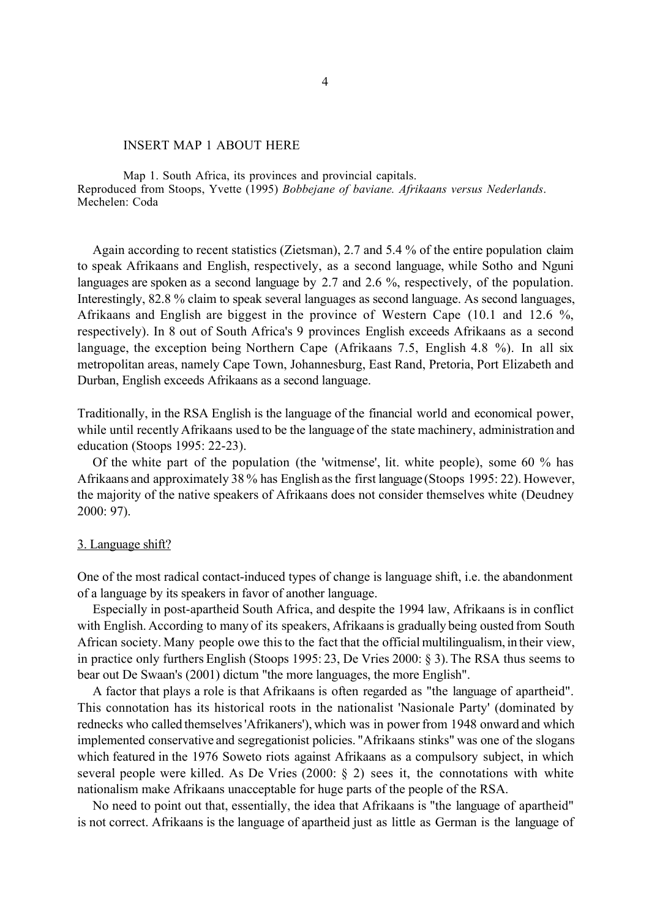#### INSERT MAP 1 ABOUT HERE

Map 1. South Africa, its provinces and provincial capitals. Reproduced from Stoops, Yvette (1995) *Bobbejane of baviane. Afrikaans versus Nederlands*. Mechelen: Coda

Again according to recent statistics (Zietsman), 2.7 and 5.4 % of the entire population claim to speak Afrikaans and English, respectively, as a second language, while Sotho and Nguni languages are spoken as a second language by 2.7 and 2.6 %, respectively, of the population. Interestingly, 82.8 % claim to speak several languages as second language. As second languages, Afrikaans and English are biggest in the province of Western Cape (10.1 and 12.6 %, respectively). In 8 out of South Africa's 9 provinces English exceeds Afrikaans as a second language, the exception being Northern Cape (Afrikaans 7.5, English 4.8 %). In all six metropolitan areas, namely Cape Town, Johannesburg, East Rand, Pretoria, Port Elizabeth and Durban, English exceeds Afrikaans as a second language.

Traditionally, in the RSA English is the language of the financial world and economical power, while until recently Afrikaans used to be the language of the state machinery, administration and education (Stoops 1995: 22-23).

Of the white part of the population (the 'witmense', lit. white people), some 60 % has Afrikaans and approximately 38 % has English as the first language (Stoops 1995: 22). However, the majority of the native speakers of Afrikaans does not consider themselves white (Deudney 2000: 97).

### 3. Language shift?

One of the most radical contact-induced types of change is language shift, i.e. the abandonment of a language by its speakers in favor of another language.

Especially in post-apartheid South Africa, and despite the 1994 law, Afrikaans is in conflict with English. According to many of its speakers, Afrikaans is gradually being ousted from South African society. Many people owe this to the fact that the official multilingualism, in their view, in practice only furthers English (Stoops 1995: 23, De Vries 2000: § 3). The RSA thus seems to bear out De Swaan's (2001) dictum "the more languages, the more English".

A factor that plays a role is that Afrikaans is often regarded as "the language of apartheid". This connotation has its historical roots in the nationalist 'Nasionale Party' (dominated by rednecks who called themselves 'Afrikaners'), which was in power from 1948 onward and which implemented conservative and segregationist policies. "Afrikaans stinks" was one of the slogans which featured in the 1976 Soweto riots against Afrikaans as a compulsory subject, in which several people were killed. As De Vries (2000: § 2) sees it, the connotations with white nationalism make Afrikaans unacceptable for huge parts of the people of the RSA.

No need to point out that, essentially, the idea that Afrikaans is "the language of apartheid" is not correct. Afrikaans is the language of apartheid just as little as German is the language of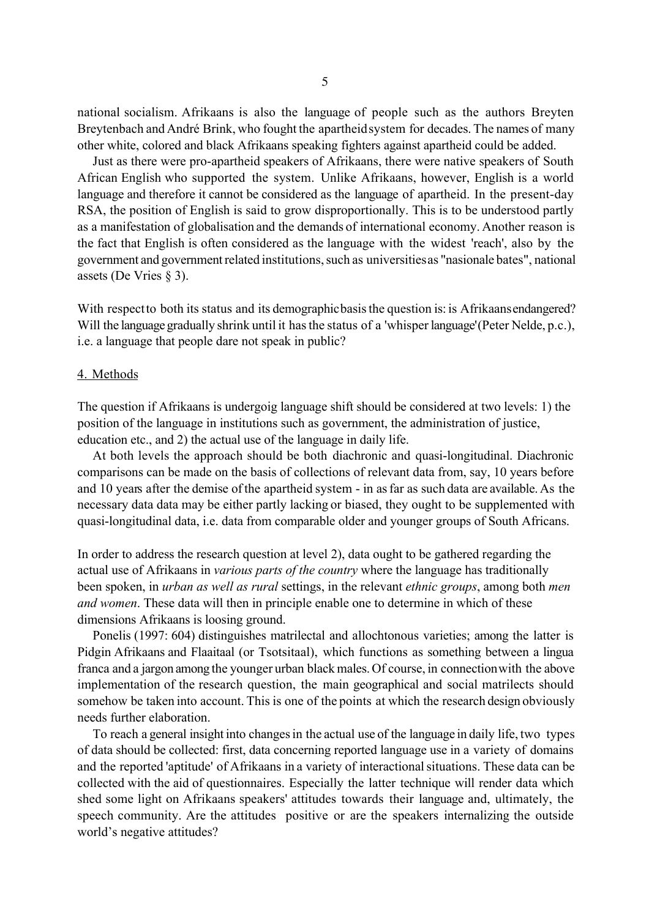national socialism. Afrikaans is also the language of people such as the authors Breyten Breytenbach and André Brink, who fought the apartheid system for decades. The names of many other white, colored and black Afrikaans speaking fighters against apartheid could be added.

Just as there were pro-apartheid speakers of Afrikaans, there were native speakers of South African English who supported the system. Unlike Afrikaans, however, English is a world language and therefore it cannot be considered as the language of apartheid. In the present-day RSA, the position of English is said to grow disproportionally. This is to be understood partly as a manifestation of globalisation and the demands of international economy. Another reason is the fact that English is often considered as the language with the widest 'reach', also by the government and government related institutions, such as universities as "nasionale bates", national assets (De Vries § 3).

With respect to both its status and its demographic basis the question is: is Afrikaans endangered? Will the language gradually shrink until it has the status of a 'whisper language' (Peter Nelde, p.c.), i.e. a language that people dare not speak in public?

### 4. Methods

The question if Afrikaans is undergoig language shift should be considered at two levels: 1) the position of the language in institutions such as government, the administration of justice, education etc., and 2) the actual use of the language in daily life.

At both levels the approach should be both diachronic and quasi-longitudinal. Diachronic comparisons can be made on the basis of collections of relevant data from, say, 10 years before and 10 years after the demise of the apartheid system - in as far as such data are available. As the necessary data data may be either partly lacking or biased, they ought to be supplemented with quasi-longitudinal data, i.e. data from comparable older and younger groups of South Africans.

In order to address the research question at level 2), data ought to be gathered regarding the actual use of Afrikaans in *various parts of the country* where the language has traditionally been spoken, in *urban as well as rural* settings, in the relevant *ethnic groups*, among both *men and women*. These data will then in principle enable one to determine in which of these dimensions Afrikaans is loosing ground.

Ponelis (1997: 604) distinguishes matrilectal and allochtonous varieties; among the latter is Pidgin Afrikaans and Flaaitaal (or Tsotsitaal), which functions as something between a lingua franca and a jargon among the younger urban black males. Of course, in connection with the above implementation of the research question, the main geographical and social matrilects should somehow be taken into account. This is one of the points at which the research design obviously needs further elaboration.

To reach a general insight into changes in the actual use of the language in daily life, two types of data should be collected: first, data concerning reported language use in a variety of domains and the reported 'aptitude' of Afrikaans in a variety of interactional situations. These data can be collected with the aid of questionnaires. Especially the latter technique will render data which shed some light on Afrikaans speakers' attitudes towards their language and, ultimately, the speech community. Are the attitudes positive or are the speakers internalizing the outside world's negative attitudes?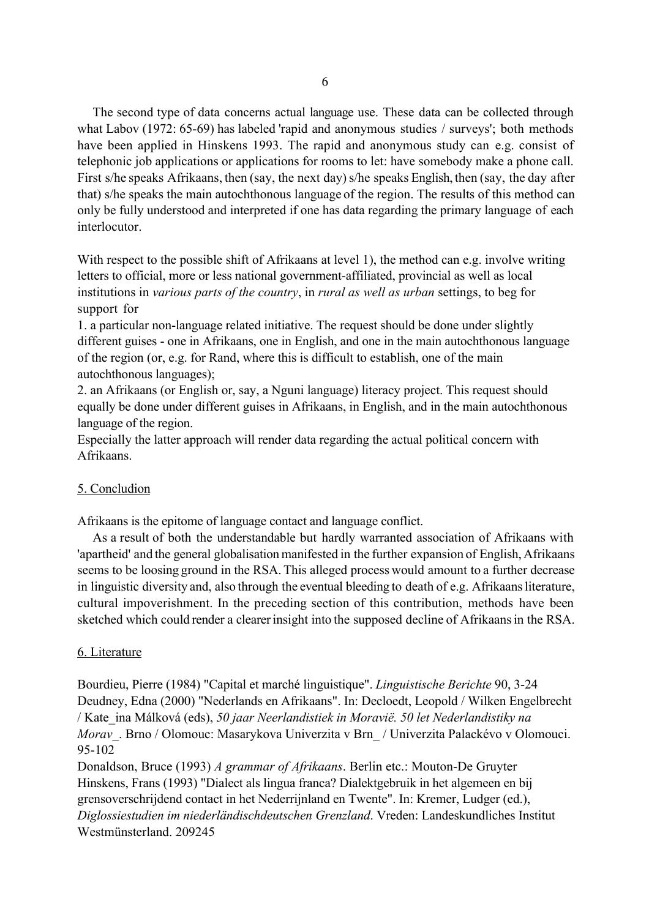The second type of data concerns actual language use. These data can be collected through what Labov (1972: 65-69) has labeled 'rapid and anonymous studies / surveys'; both methods have been applied in Hinskens 1993. The rapid and anonymous study can e.g. consist of telephonic job applications or applications for rooms to let: have somebody make a phone call. First s/he speaks Afrikaans, then (say, the next day) s/he speaks English, then (say, the day after that) s/he speaks the main autochthonous language of the region. The results of this method can only be fully understood and interpreted if one has data regarding the primary language of each interlocutor.

With respect to the possible shift of Afrikaans at level 1), the method can e.g. involve writing letters to official, more or less national government-affiliated, provincial as well as local institutions in *various parts of the country*, in *rural as well as urban* settings, to beg for support for

1. a particular non-language related initiative. The request should be done under slightly different guises - one in Afrikaans, one in English, and one in the main autochthonous language of the region (or, e.g. for Rand, where this is difficult to establish, one of the main autochthonous languages);

2. an Afrikaans (or English or, say, a Nguni language) literacy project. This request should equally be done under different guises in Afrikaans, in English, and in the main autochthonous language of the region.

Especially the latter approach will render data regarding the actual political concern with Afrikaans.

## 5. Concludion

Afrikaans is the epitome of language contact and language conflict.

As a result of both the understandable but hardly warranted association of Afrikaans with 'apartheid' and the general globalisation manifested in the further expansion of English, Afrikaans seems to be loosing ground in the RSA. This alleged process would amount to a further decrease in linguistic diversity and, also through the eventual bleeding to death of e.g. Afrikaans literature, cultural impoverishment. In the preceding section of this contribution, methods have been sketched which could render a clearer insight into the supposed decline of Afrikaans in the RSA.

## 6. Literature

Bourdieu, Pierre (1984) "Capital et marché linguistique". *Linguistische Berichte* 90, 3-24 Deudney, Edna (2000) "Nederlands en Afrikaans". In: Decloedt, Leopold / Wilken Engelbrecht / Kate\_ina Málková (eds), *50 jaar Neerlandistiek in Moravië. 50 let Nederlandistiky na Morav\_*. Brno / Olomouc: Masarykova Univerzita v Brn\_ / Univerzita Palackévo v Olomouci. 95-102

Donaldson, Bruce (1993) *A grammar of Afrikaans*. Berlin etc.: Mouton-De Gruyter Hinskens, Frans (1993) "Dialect als lingua franca? Dialektgebruik in het algemeen en bij grensoverschrijdend contact in het Nederrijnland en Twente". In: Kremer, Ludger (ed.), *Diglossiestudien im niederländischdeutschen Grenzland*. Vreden: Landeskundliches Institut Westmünsterland. 209245